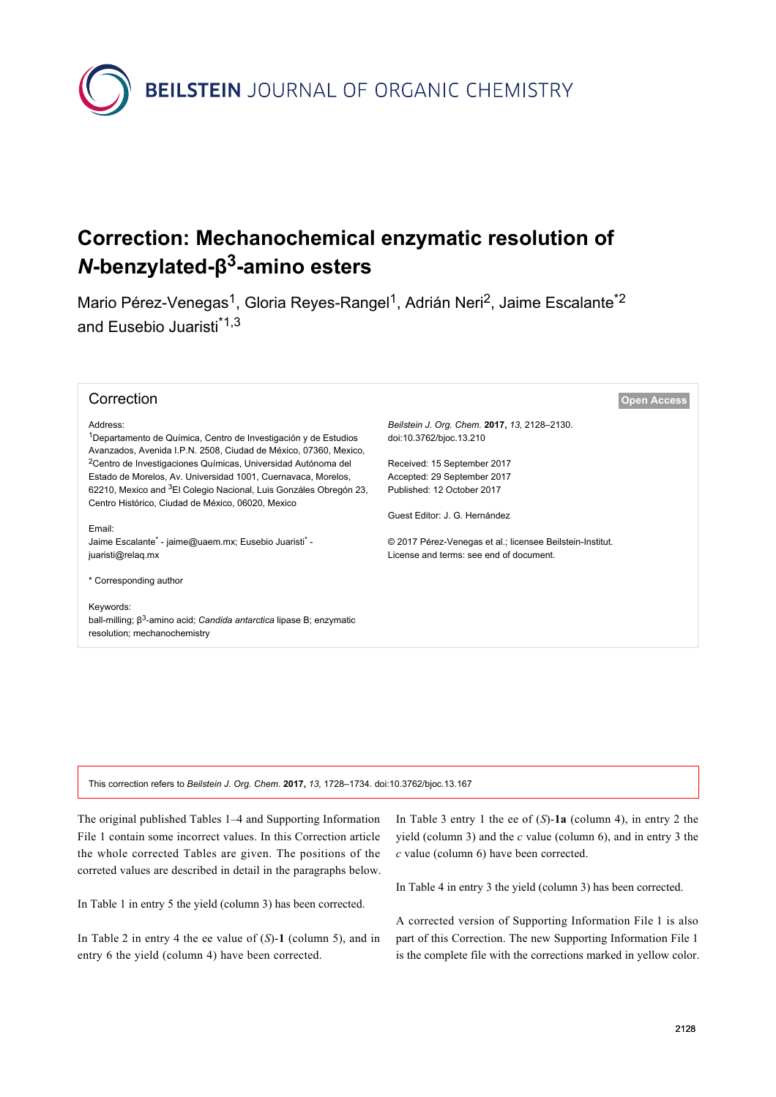

## **Correction: Mechanochemical enzymatic resolution of** *N***-benzylated-β 3 -amino esters**

Mario Pérez-Venegas<sup>1</sup>, Gloria Reyes-Rangel<sup>1</sup>, Adrián Neri<sup>2</sup>, Jaime Escalante<sup>\*2</sup> and Eusebio Juaristi<sup>\*1,3</sup>

| Correction                                                                                                                                      | <b>Open Access</b>                                        |
|-------------------------------------------------------------------------------------------------------------------------------------------------|-----------------------------------------------------------|
| Address:                                                                                                                                        | Beilstein J. Org. Chem. 2017, 13, 2128-2130.              |
| <sup>1</sup> Departamento de Química, Centro de Investigación y de Estudios<br>Avanzados, Avenida I.P.N. 2508, Ciudad de México, 07360, Mexico, | doi:10.3762/bjoc.13.210                                   |
| <sup>2</sup> Centro de Investigaciones Químicas, Universidad Autónoma del                                                                       | Received: 15 September 2017                               |
| Estado de Morelos, Av. Universidad 1001, Cuernavaca, Morelos,                                                                                   | Accepted: 29 September 2017                               |
| 62210, Mexico and <sup>3</sup> El Colegio Nacional, Luis Gonzáles Obregón 23,<br>Centro Histórico, Ciudad de México, 06020, Mexico              | Published: 12 October 2017                                |
|                                                                                                                                                 | Guest Editor: J. G. Hernández                             |
| Email:                                                                                                                                          |                                                           |
| Jaime Escalante* - jaime@uaem.mx; Eusebio Juaristi* -                                                                                           | © 2017 Pérez-Venegas et al.; licensee Beilstein-Institut. |
| juaristi@relaq.mx                                                                                                                               | License and terms: see end of document.                   |
| * Corresponding author                                                                                                                          |                                                           |
| Keywords:                                                                                                                                       |                                                           |
| ball-milling; $\beta^3$ -amino acid; Candida antarctica lipase B; enzymatic                                                                     |                                                           |
| resolution; mechanochemistry                                                                                                                    |                                                           |
|                                                                                                                                                 |                                                           |
|                                                                                                                                                 |                                                           |
|                                                                                                                                                 |                                                           |

This correction refers to *Beilstein J. Org. Chem.* **2017,** *13,* 1728–1734. [doi:10.3762/bjoc.13.167](https://doi.org/10.3762%2Fbjoc.13.167)

The original published Tables 1–4 and Supporting Information File 1 contain some incorrect values. In this Correction article the whole corrected Tables are given. The positions of the correted values are described in detail in the paragraphs below.

In [Table 1](#page-1-0) in entry 5 the yield (column 3) has been corrected.

In [Table 2](#page-1-1) in entry 4 the ee value of (*S*)-**1** (column 5), and in entry 6 the yield (column 4) have been corrected.

In [Table 3](#page-2-0) entry 1 the ee of (*S*)-**1a** (column 4), in entry 2 the yield (column 3) and the *c* value (column 6), and in entry 3 the *c* value (column 6) have been corrected.

In [Table 4](#page-2-1) in entry 3 the yield (column 3) has been corrected.

A corrected version of [Supporting Information File 1](#page-2-2) is also part of this Correction. The new [Supporting Information File 1](#page-2-2) is the complete file with the corrections marked in yellow color.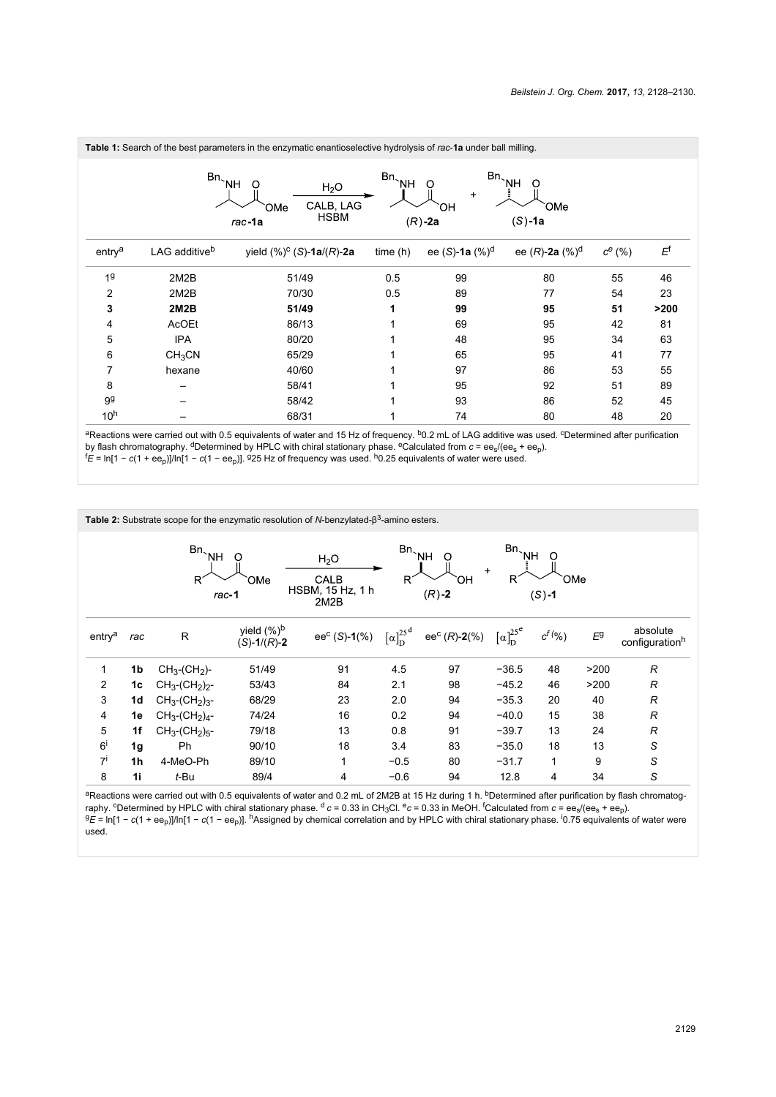<span id="page-1-0"></span>

|                    |                           | Table 1: Search of the best parameters in the enzymatic enantioselective hydrolysis of rac-1a under ball milling. |                             |                                                        |                              |             |      |
|--------------------|---------------------------|-------------------------------------------------------------------------------------------------------------------|-----------------------------|--------------------------------------------------------|------------------------------|-------------|------|
|                    | $Bn_{\sim}$ NH            | $\Omega$<br>H <sub>2</sub> O<br>CALB, LAG<br>OMe<br><b>HSBM</b><br>$rac{-1}{a}$                                   | $\mathsf{Bn}_{\searrow}$ NH | Bn <sub>`NH</sub><br>O<br>$\ddot{}$<br>ЮH<br>$(R)$ -2a | $\Omega$<br>OMe<br>$(S)$ -1a |             |      |
| entry <sup>a</sup> | LAG additive <sup>b</sup> | yield $(\%)^c$ (S)-1a/(R)-2a                                                                                      | time(h)                     | ee (S)-1a $(\%)^d$                                     | ee $(R)$ -2a $(\%)^d$        | $c^{e}$ (%) | Ęf   |
| 19                 | 2M2B                      | 51/49                                                                                                             | 0.5                         | 99                                                     | 80                           | 55          | 46   |
| $\overline{2}$     | 2M2B                      | 70/30                                                                                                             | 0.5                         | 89                                                     | 77                           | 54          | 23   |
| 3                  | 2M2B                      | 51/49                                                                                                             | 1                           | 99                                                     | 95                           | 51          | >200 |
| 4                  | AcOEt                     | 86/13                                                                                                             |                             | 69                                                     | 95                           | 42          | 81   |
| 5                  | <b>IPA</b>                | 80/20                                                                                                             |                             | 48                                                     | 95                           | 34          | 63   |
| 6                  | CH <sub>3</sub> CN        | 65/29                                                                                                             |                             | 65                                                     | 95                           | 41          | 77   |
| 7                  | hexane                    | 40/60                                                                                                             |                             | 97                                                     | 86                           | 53          | 55   |
| 8                  |                           | 58/41                                                                                                             |                             | 95                                                     | 92                           | 51          | 89   |
| 99                 |                           | 58/42                                                                                                             |                             | 93                                                     | 86                           | 52          | 45   |
| 10 <sup>h</sup>    |                           | 68/31                                                                                                             |                             | 74                                                     | 80                           | 48          | 20   |

aReactions were carried out with 0.5 equivalents of water and 15 Hz of frequency. <sup>b</sup>0.2 mL of LAG additive was used. <sup>c</sup>Determined after purification by flash chromatography. dDetermined by HPLC with chiral stationary phase. eCalculated from *c* = ees/(ees + eep).

<sup>f</sup>*E* = ln[1 − *c*(1 + eep)]/ln[1 − *c*(1 − eep)]. <sup>g</sup>25 Hz of frequency was used. h0.25 equivalents of water were used.

<span id="page-1-1"></span>

|                    |                |                            |                                 | <b>Table 2:</b> Substrate scope for the enzymatic resolution of N-benzylated- $\beta^3$ -amino esters. |                                         |                                                       |                        |                       |       |                                        |
|--------------------|----------------|----------------------------|---------------------------------|--------------------------------------------------------------------------------------------------------|-----------------------------------------|-------------------------------------------------------|------------------------|-----------------------|-------|----------------------------------------|
|                    |                | Bn <sub>NH</sub><br>$R^2$  | Ω<br>OMe<br>rac-1               | H <sub>2</sub> O<br>CALB<br>HSBM, 15 Hz, 1 h<br>2M2B                                                   | Bn <sub>`NH</sub><br>R                  | O<br>ЮH<br>$(R) - 2$                                  | Bn <sub>`NH</sub><br>R | Ω<br>OMe<br>$(S) - 1$ |       |                                        |
| entry <sup>a</sup> | rac            | R.                         | yield $(\%)^b$<br>$(S)-1/(R)-2$ | $ee^C(S)-1(\%)$                                                                                        | $\left[\alpha\right]_D^{25^{\text{d}}}$ | ee <sup>c</sup> ( <i>R</i> )-2(%) $[\alpha]_D^{25^e}$ |                        | $c^{f}$ (%)           | $E^9$ | absolute<br>configuration <sup>h</sup> |
| 1                  | 1b             | $CH3$ -(CH <sub>2</sub> )- | 51/49                           | 91                                                                                                     | 4.5                                     | 97                                                    | $-36.5$                | 48                    | >200  | $\mathcal{R}$                          |
| $\overline{2}$     | 1c             | $CH_3$ - $(CH_2)_2$ -      | 53/43                           | 84                                                                                                     | 2.1                                     | 98                                                    | $-45.2$                | 46                    | >200  | $\mathcal{R}$                          |
| 3                  | 1d             | $CH_3$ - $(CH_2)_3$ -      | 68/29                           | 23                                                                                                     | 2.0                                     | 94                                                    | $-35.3$                | 20                    | 40    | $\mathcal{R}$                          |
| 4                  | 1e             | $CH_3$ - $(CH_2)_4$ -      | 74/24                           | 16                                                                                                     | 0.2                                     | 94                                                    | $-40.0$                | 15                    | 38    | $\mathcal{R}$                          |
| 5                  | 1f             | $CH_3$ - $(CH_2)_{5}$ -    | 79/18                           | 13                                                                                                     | 0.8                                     | 91                                                    | $-39.7$                | 13                    | 24    | $\mathcal{R}$                          |
| $6^{\mathrm{i}}$   | 1 <sub>g</sub> | Ph                         | 90/10                           | 18                                                                                                     | 3.4                                     | 83                                                    | $-35.0$                | 18                    | 13    | S                                      |
| $7^{i}$            | 1h             | 4-MeO-Ph                   | 89/10                           | 1                                                                                                      | $-0.5$                                  | 80                                                    | $-31.7$                | 1                     | 9     | S                                      |
| 8                  | 1i             | t-Bu                       | 89/4                            | 4                                                                                                      | $-0.6$                                  | 94                                                    | 12.8                   | 4                     | 34    | S                                      |

aReactions were carried out with 0.5 equivalents of water and 0.2 mL of 2M2B at 15 Hz during 1 h. <sup>b</sup>Determined after purification by flash chromatography. cDetermined by HPLC with chiral stationary phase. d *c* = 0.33 in CH3Cl. e*c* = 0.33 in MeOH. fCalculated from *c* = ees/(ees + eep). g<sub>E</sub> = ln[1 − *c*(1 + ee<sub>p</sub>)]/ln[1 − *c*(1 − ee<sub>p</sub>)]. <sup>h</sup>Assigned by chemical correlation and by HPLC with chiral stationary phase. <sup>i</sup>0.75 equivalents of water were used.